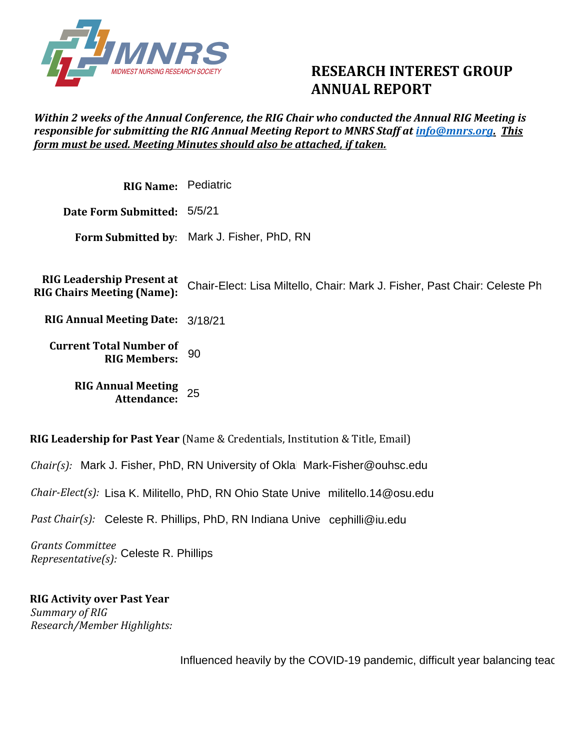

## **RESEARCH INTEREST GROUP ANNUAL REPORT**

## *Within 2 weeks of the Annual Conference, the RIG Chair who conducted the Annual RIG Meeting is responsible for submitting the RIG Annual Meeting Report to MNRS Staff at [info@mnrs.org.](mailto:info@mnrs.org) This form must be used. Meeting Minutes should also be attached, if taken.*

**RIG Name:**  Pediatric **Date Form Submitted:**  5/5/21 **Form Submitted by**: Mark J. Fisher, PhD, RN **RIG Leadership Present at RIG Chairs Meeting (Name): RIG Annual Meeting Date:**  3/18/21 **Current Total Number of RIG Members: RIG Annual Meeting Attendance:**  Chair-Elect: Lisa Miltello, Chair: Mark J. Fisher, Past Chair: Celeste Ph 90<br>25

**RIG Leadership for Past Year** (Name & Credentials, Institution & Title, Email)

*Chair(s):* Mark J. Fisher, PhD, RN University of Okla Mark-Fisher@ouhsc.edu

*Chair-Elect(s): L*isa K. Militello, PhD, RN Ohio State Unive militello.14@osu.edu<br>*Past Chair(s): C*eleste R. Phillips, PhD, RN Indiana Unive cephilli@iu.edu

*Past Chair(s):* Celeste R. Phillips, PhD, RN Indiana Unive cephilli@iu.edu

*Grants Committee Representative(s):*  Celeste R. Phillips

**RIG Activity over Past Year**  *Summary of RIG Research/Member Highlights:* 

Influenced heavily by the COVID-19 pandemic, difficult year balancing teac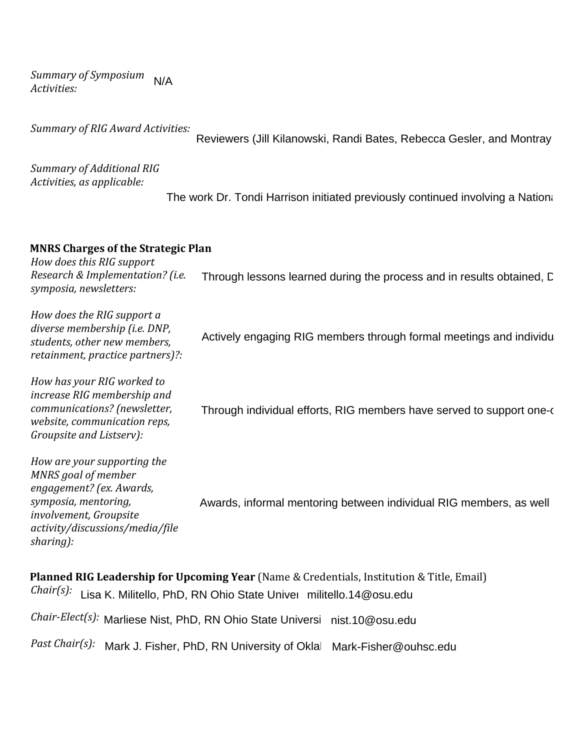*Summary of Symposium Activities:*  N/A

*Summary of RIG Award Activities:* 

Reviewers (Jill Kilanowski, Randi Bates, Rebecca Gesler, and Montray

*Summary of Additional RIG Activities, as applicable:*

The work Dr. Tondi Harrison initiated previously continued involving a National Survey to understand current sta

## **MNRS Charges of the Strategic Plan**

*How does this RIG support Research & Implementation? (i.e. symposia, newsletters:* Through lessons learned during the process and in results obtained, C

*How does the RIG support a diverse membership (i.e. DNP, students, other new members, retainment, practice partners)?: How has your RIG worked to increase RIG membership and communications? (newsletter, website, communication reps, Groupsite and Listserv): How are your supporting the*  Actively engaging RIG members through formal meetings and individu<br><br>Through individual efforts, RIG members have served to support one-c

*MNRS goal of member engagement? (ex. Awards, symposia, mentoring, involvement, Groupsite activity/discussions/media/file sharing):* Awards, informal mentoring between individual RIG members, as well

**Planned RIG Leadership for Upcoming Year** (Name & Credentials, Institution & Title, Email) Chair(s): Lisa K. Militello, PhD, RN Ohio State Univer militello.14@osu.edu

Chair-Elect(s): Marliese Nist, PhD, RN Ohio State Universi nist.10@osu.edu

Past Chair(s): Mark J. Fisher, PhD, RN University of Oklal Mark-Fisher@ouhsc.edu